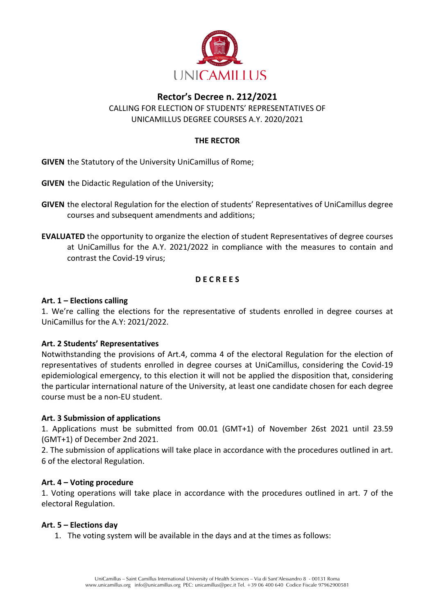

## **Rector's Decree n. 212/2021**

CALLING FOR ELECTION OF STUDENTS' REPRESENTATIVES OF UNICAMILLUS DEGREE COURSES A.Y. 2020/2021

### **THE RECTOR**

**GIVEN** the Statutory of the University UniCamillus of Rome;

**GIVEN** the Didactic Regulation of the University;

- **GIVEN** the electoral Regulation for the election of students' Representatives of UniCamillus degree courses and subsequent amendments and additions;
- **EVALUATED** the opportunity to organize the election of student Representatives of degree courses at UniCamillus for the A.Y. 2021/2022 in compliance with the measures to contain and contrast the Covid-19 virus;

### **D E C R E E S**

#### **Art. 1 – Elections calling**

1. We're calling the elections for the representative of students enrolled in degree courses at UniCamillus for the A.Y: 2021/2022.

### **Art. 2 Students' Representatives**

Notwithstanding the provisions of Art.4, comma 4 of the electoral Regulation for the election of representatives of students enrolled in degree courses at UniCamillus, considering the Covid-19 epidemiological emergency, to this election it will not be applied the disposition that, considering the particular international nature of the University, at least one candidate chosen for each degree course must be a non-EU student.

### **Art. 3 Submission of applications**

1. Applications must be submitted from 00.01 (GMT+1) of November 26st 2021 until 23.59 (GMT+1) of December 2nd 2021.

2. The submission of applications will take place in accordance with the procedures outlined in art. 6 of the electoral Regulation.

### **Art. 4 – Voting procedure**

1. Voting operations will take place in accordance with the procedures outlined in art. 7 of the electoral Regulation.

### **Art. 5 – Elections day**

1. The voting system will be available in the days and at the times as follows: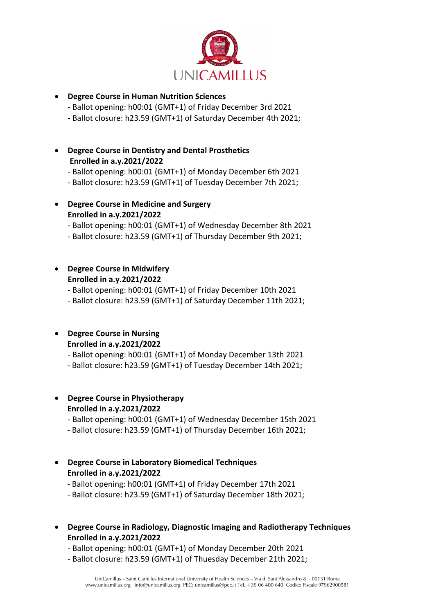

## • **Degree Course in Human Nutrition Sciences**

- Ballot opening: h00:01 (GMT+1) of Friday December 3rd 2021
- Ballot closure: h23.59 (GMT+1) of Saturday December 4th 2021;
- **Degree Course in Dentistry and Dental Prosthetics Enrolled in a.y.2021/2022**
	- Ballot opening: h00:01 (GMT+1) of Monday December 6th 2021
	- Ballot closure: h23.59 (GMT+1) of Tuesday December 7th 2021;
- **Degree Course in Medicine and Surgery Enrolled in a.y.2021/2022**
	- Ballot opening: h00:01 (GMT+1) of Wednesday December 8th 2021
	- Ballot closure: h23.59 (GMT+1) of Thursday December 9th 2021;

## • **Degree Course in Midwifery Enrolled in a.y.2021/2022**

- Ballot opening: h00:01 (GMT+1) of Friday December 10th 2021

- Ballot closure: h23.59 (GMT+1) of Saturday December 11th 2021;

### • **Degree Course in Nursing Enrolled in a.y.2021/2022**

- Ballot opening: h00:01 (GMT+1) of Monday December 13th 2021
- Ballot closure: h23.59 (GMT+1) of Tuesday December 14th 2021;

# • **Degree Course in Physiotherapy Enrolled in a.y.2021/2022**

- Ballot opening: h00:01 (GMT+1) of Wednesday December 15th 2021
- Ballot closure: h23.59 (GMT+1) of Thursday December 16th 2021;

## • **Degree Course in Laboratory Biomedical Techniques Enrolled in a.y.2021/2022**

- Ballot opening: h00:01 (GMT+1) of Friday December 17th 2021
- Ballot closure: h23.59 (GMT+1) of Saturday December 18th 2021;
- **Degree Course in Radiology, Diagnostic Imaging and Radiotherapy Techniques Enrolled in a.y.2021/2022**
	- Ballot opening: h00:01 (GMT+1) of Monday December 20th 2021
	- Ballot closure: h23.59 (GMT+1) of Thuesday December 21th 2021;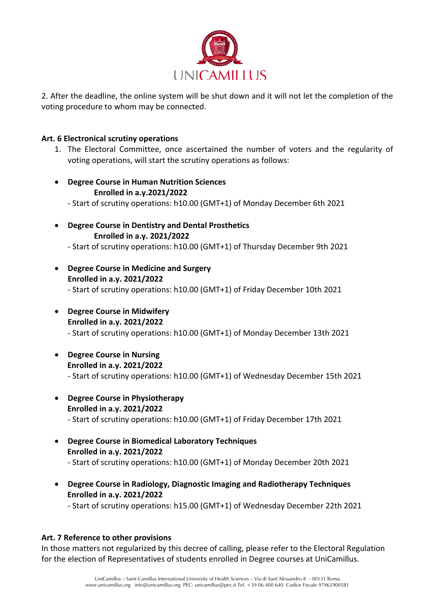

2. After the deadline, the online system will be shut down and it will not let the completion of the voting procedure to whom may be connected.

### **Art. 6 Electronical scrutiny operations**

- 1. The Electoral Committee, once ascertained the number of voters and the regularity of voting operations, will start the scrutiny operations as follows:
- **Degree Course in Human Nutrition Sciences Enrolled in a.y.2021/2022** - Start of scrutiny operations: h10.00 (GMT+1) of Monday December 6th 2021
- **Degree Course in Dentistry and Dental Prosthetics Enrolled in a.y. 2021/2022**

- Start of scrutiny operations: h10.00 (GMT+1) of Thursday December 9th 2021

- **Degree Course in Medicine and Surgery Enrolled in a.y. 2021/2022** - Start of scrutiny operations: h10.00 (GMT+1) of Friday December 10th 2021
- **Degree Course in Midwifery Enrolled in a.y. 2021/2022** - Start of scrutiny operations: h10.00 (GMT+1) of Monday December 13th 2021
- **Degree Course in Nursing Enrolled in a.y. 2021/2022** - Start of scrutiny operations: h10.00 (GMT+1) of Wednesday December 15th 2021
- **Degree Course in Physiotherapy Enrolled in a.y. 2021/2022** - Start of scrutiny operations: h10.00 (GMT+1) of Friday December 17th 2021
- **Degree Course in Biomedical Laboratory Techniques Enrolled in a.y. 2021/2022** - Start of scrutiny operations: h10.00 (GMT+1) of Monday December 20th 2021
- **Degree Course in Radiology, Diagnostic Imaging and Radiotherapy Techniques Enrolled in a.y. 2021/2022**

- Start of scrutiny operations: h15.00 (GMT+1) of Wednesday December 22th 2021

### **Art. 7 Reference to other provisions**

In those matters not regularized by this decree of calling, please refer to the Electoral Regulation for the election of Representatives of students enrolled in Degree courses at UniCamillus.